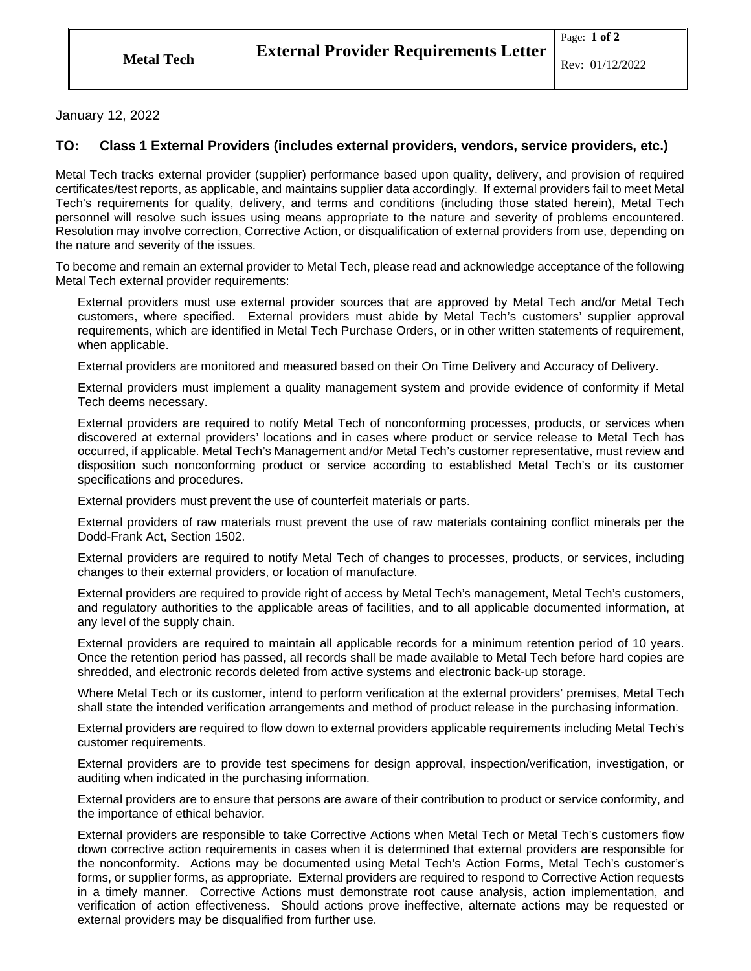## January 12, 2022

## **TO: Class 1 External Providers (includes external providers, vendors, service providers, etc.)**

Metal Tech tracks external provider (supplier) performance based upon quality, delivery, and provision of required certificates/test reports, as applicable, and maintains supplier data accordingly. If external providers fail to meet Metal Tech's requirements for quality, delivery, and terms and conditions (including those stated herein), Metal Tech personnel will resolve such issues using means appropriate to the nature and severity of problems encountered. Resolution may involve correction, Corrective Action, or disqualification of external providers from use, depending on the nature and severity of the issues.

To become and remain an external provider to Metal Tech, please read and acknowledge acceptance of the following Metal Tech external provider requirements:

External providers must use external provider sources that are approved by Metal Tech and/or Metal Tech customers, where specified. External providers must abide by Metal Tech's customers' supplier approval requirements, which are identified in Metal Tech Purchase Orders, or in other written statements of requirement, when applicable.

External providers are monitored and measured based on their On Time Delivery and Accuracy of Delivery.

External providers must implement a quality management system and provide evidence of conformity if Metal Tech deems necessary.

External providers are required to notify Metal Tech of nonconforming processes, products, or services when discovered at external providers' locations and in cases where product or service release to Metal Tech has occurred, if applicable. Metal Tech's Management and/or Metal Tech's customer representative, must review and disposition such nonconforming product or service according to established Metal Tech's or its customer specifications and procedures.

External providers must prevent the use of counterfeit materials or parts.

External providers of raw materials must prevent the use of raw materials containing conflict minerals per the Dodd-Frank Act, Section 1502.

External providers are required to notify Metal Tech of changes to processes, products, or services, including changes to their external providers, or location of manufacture.

External providers are required to provide right of access by Metal Tech's management, Metal Tech's customers, and regulatory authorities to the applicable areas of facilities, and to all applicable documented information, at any level of the supply chain.

External providers are required to maintain all applicable records for a minimum retention period of 10 years. Once the retention period has passed, all records shall be made available to Metal Tech before hard copies are shredded, and electronic records deleted from active systems and electronic back-up storage.

Where Metal Tech or its customer, intend to perform verification at the external providers' premises, Metal Tech shall state the intended verification arrangements and method of product release in the purchasing information.

External providers are required to flow down to external providers applicable requirements including Metal Tech's customer requirements.

External providers are to provide test specimens for design approval, inspection/verification, investigation, or auditing when indicated in the purchasing information.

External providers are to ensure that persons are aware of their contribution to product or service conformity, and the importance of ethical behavior.

External providers are responsible to take Corrective Actions when Metal Tech or Metal Tech's customers flow down corrective action requirements in cases when it is determined that external providers are responsible for the nonconformity. Actions may be documented using Metal Tech's Action Forms, Metal Tech's customer's forms, or supplier forms, as appropriate. External providers are required to respond to Corrective Action requests in a timely manner. Corrective Actions must demonstrate root cause analysis, action implementation, and verification of action effectiveness. Should actions prove ineffective, alternate actions may be requested or external providers may be disqualified from further use.